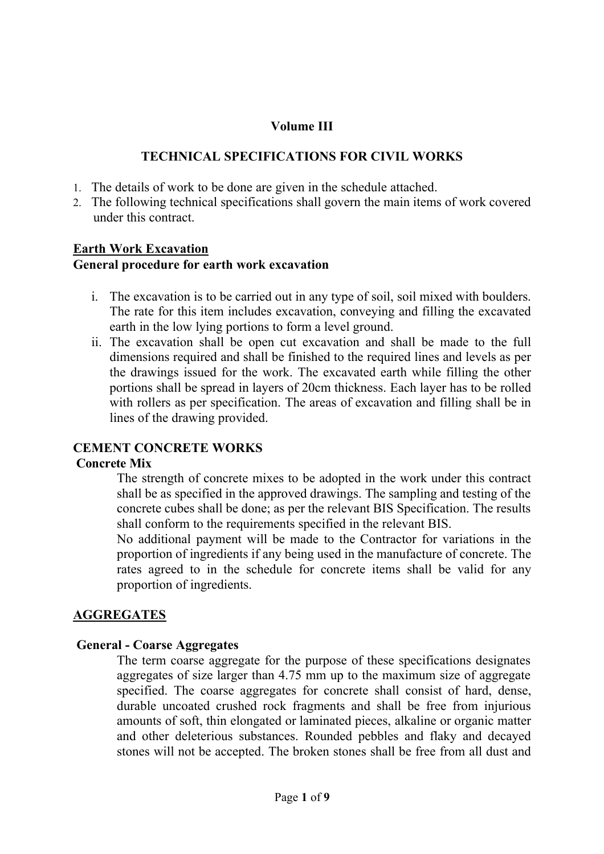# **Volume III**

## **TECHNICAL SPECIFICATIONS FOR CIVIL WORKS**

- 1. The details of work to be done are given in the schedule attached.
- 2. The following technical specifications shall govern the main items of work covered under this contract.

# **Earth Work Excavation General procedure for earth work excavation**

- i. The excavation is to be carried out in any type of soil, soil mixed with boulders. The rate for this item includes excavation, conveying and filling the excavated earth in the low lying portions to form a level ground.
- ii. The excavation shall be open cut excavation and shall be made to the full dimensions required and shall be finished to the required lines and levels as per the drawings issued for the work. The excavated earth while filling the other portions shall be spread in layers of 20cm thickness. Each layer has to be rolled with rollers as per specification. The areas of excavation and filling shall be in lines of the drawing provided.

### **CEMENT CONCRETE WORKS**

### **Concrete Mix**

The strength of concrete mixes to be adopted in the work under this contract shall be as specified in the approved drawings. The sampling and testing of the concrete cubes shall be done; as per the relevant BIS Specification. The results shall conform to the requirements specified in the relevant BIS.

No additional payment will be made to the Contractor for variations in the proportion of ingredients if any being used in the manufacture of concrete. The rates agreed to in the schedule for concrete items shall be valid for any proportion of ingredients.

### **AGGREGATES**

### **General - Coarse Aggregates**

The term coarse aggregate for the purpose of these specifications designates aggregates of size larger than 4.75 mm up to the maximum size of aggregate specified. The coarse aggregates for concrete shall consist of hard, dense, durable uncoated crushed rock fragments and shall be free from injurious amounts of soft, thin elongated or laminated pieces, alkaline or organic matter and other deleterious substances. Rounded pebbles and flaky and decayed stones will not be accepted. The broken stones shall be free from all dust and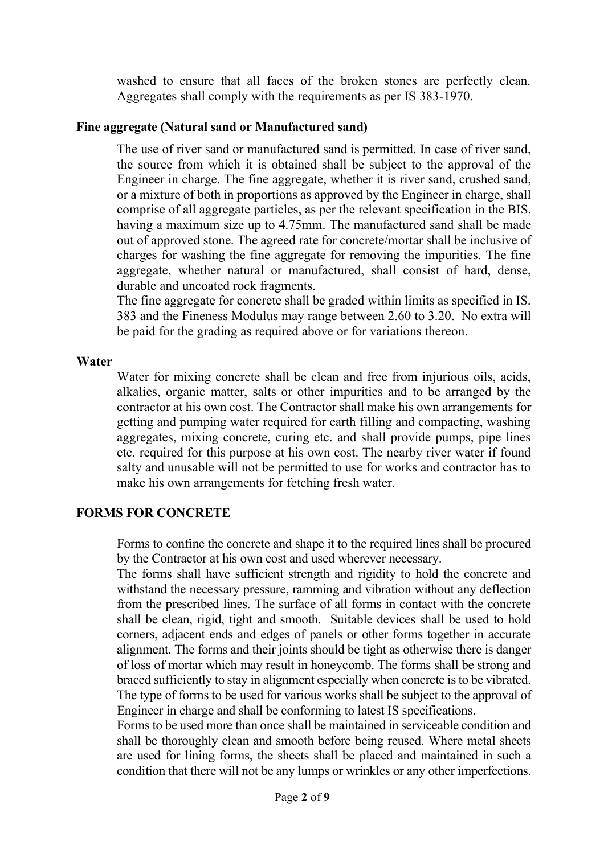washed to ensure that all faces of the broken stones are perfectly clean. Aggregates shall comply with the requirements as per IS 383-1970.

### **Fine aggregate (Natural sand or Manufactured sand)**

The use of river sand or manufactured sand is permitted. In case of river sand, the source from which it is obtained shall be subject to the approval of the Engineer in charge. The fine aggregate, whether it is river sand, crushed sand, or a mixture of both in proportions as approved by the Engineer in charge, shall comprise of all aggregate particles, as per the relevant specification in the BIS, having a maximum size up to 4.75mm. The manufactured sand shall be made out of approved stone. The agreed rate for concrete/mortar shall be inclusive of charges for washing the fine aggregate for removing the impurities. The fine aggregate, whether natural or manufactured, shall consist of hard, dense, durable and uncoated rock fragments.

The fine aggregate for concrete shall be graded within limits as specified in IS. 383 and the Fineness Modulus may range between 2.60 to 3.20. No extra will be paid for the grading as required above or for variations thereon.

#### **Water**

Water for mixing concrete shall be clean and free from injurious oils, acids, alkalies, organic matter, salts or other impurities and to be arranged by the contractor at his own cost. The Contractor shall make his own arrangements for getting and pumping water required for earth filling and compacting, washing aggregates, mixing concrete, curing etc. and shall provide pumps, pipe lines etc. required for this purpose at his own cost. The nearby river water if found salty and unusable will not be permitted to use for works and contractor has to make his own arrangements for fetching fresh water.

### **FORMS FOR CONCRETE**

Forms to confine the concrete and shape it to the required lines shall be procured by the Contractor at his own cost and used wherever necessary.

The forms shall have sufficient strength and rigidity to hold the concrete and withstand the necessary pressure, ramming and vibration without any deflection from the prescribed lines. The surface of all forms in contact with the concrete shall be clean, rigid, tight and smooth. Suitable devices shall be used to hold corners, adjacent ends and edges of panels or other forms together in accurate alignment. The forms and their joints should be tight as otherwise there is danger of loss of mortar which may result in honeycomb. The forms shall be strong and braced sufficiently to stay in alignment especially when concrete is to be vibrated. The type of forms to be used for various works shall be subject to the approval of Engineer in charge and shall be conforming to latest IS specifications.

Forms to be used more than once shall be maintained in serviceable condition and shall be thoroughly clean and smooth before being reused. Where metal sheets are used for lining forms, the sheets shall be placed and maintained in such a condition that there will not be any lumps or wrinkles or any other imperfections.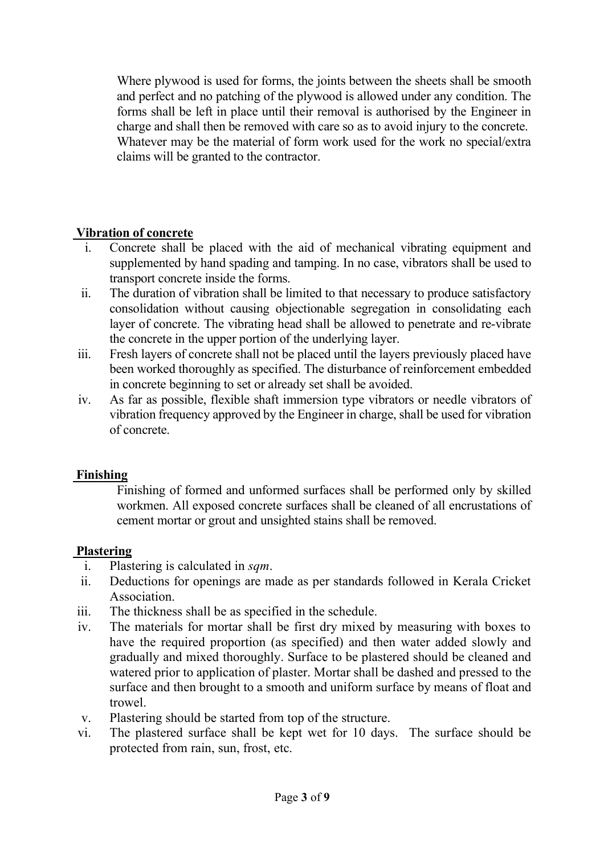Where plywood is used for forms, the joints between the sheets shall be smooth and perfect and no patching of the plywood is allowed under any condition. The forms shall be left in place until their removal is authorised by the Engineer in charge and shall then be removed with care so as to avoid injury to the concrete. Whatever may be the material of form work used for the work no special/extra claims will be granted to the contractor.

# **Vibration of concrete**

- i. Concrete shall be placed with the aid of mechanical vibrating equipment and supplemented by hand spading and tamping. In no case, vibrators shall be used to transport concrete inside the forms.
- ii. The duration of vibration shall be limited to that necessary to produce satisfactory consolidation without causing objectionable segregation in consolidating each layer of concrete. The vibrating head shall be allowed to penetrate and re-vibrate the concrete in the upper portion of the underlying layer.
- iii. Fresh layers of concrete shall not be placed until the layers previously placed have been worked thoroughly as specified. The disturbance of reinforcement embedded in concrete beginning to set or already set shall be avoided.
- iv. As far as possible, flexible shaft immersion type vibrators or needle vibrators of vibration frequency approved by the Engineer in charge, shall be used for vibration of concrete.

### **Finishing**

Finishing of formed and unformed surfaces shall be performed only by skilled workmen. All exposed concrete surfaces shall be cleaned of all encrustations of cement mortar or grout and unsighted stains shall be removed.

### **Plastering**

- i. Plastering is calculated in *sqm*.
- ii. Deductions for openings are made as per standards followed in Kerala Cricket Association.
- iii. The thickness shall be as specified in the schedule.
- iv. The materials for mortar shall be first dry mixed by measuring with boxes to have the required proportion (as specified) and then water added slowly and gradually and mixed thoroughly. Surface to be plastered should be cleaned and watered prior to application of plaster. Mortar shall be dashed and pressed to the surface and then brought to a smooth and uniform surface by means of float and trowel.
- v. Plastering should be started from top of the structure.
- vi. The plastered surface shall be kept wet for 10 days. The surface should be protected from rain, sun, frost, etc.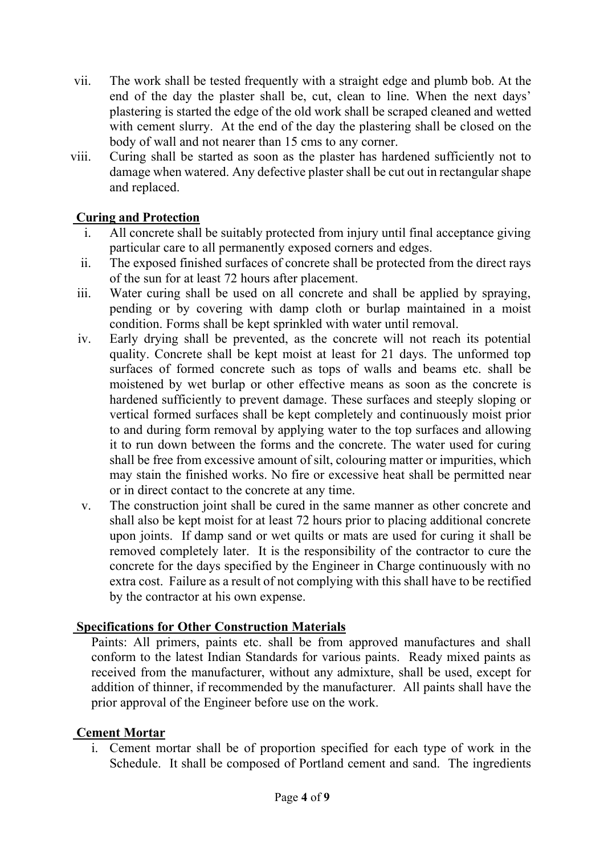- vii. The work shall be tested frequently with a straight edge and plumb bob. At the end of the day the plaster shall be, cut, clean to line. When the next days' plastering is started the edge of the old work shall be scraped cleaned and wetted with cement slurry. At the end of the day the plastering shall be closed on the body of wall and not nearer than 15 cms to any corner.
- viii. Curing shall be started as soon as the plaster has hardened sufficiently not to damage when watered. Any defective plaster shall be cut out in rectangular shape and replaced.

# **Curing and Protection**

- i. All concrete shall be suitably protected from injury until final acceptance giving particular care to all permanently exposed corners and edges.
- ii. The exposed finished surfaces of concrete shall be protected from the direct rays of the sun for at least 72 hours after placement.
- iii. Water curing shall be used on all concrete and shall be applied by spraying, pending or by covering with damp cloth or burlap maintained in a moist condition. Forms shall be kept sprinkled with water until removal.
- iv. Early drying shall be prevented, as the concrete will not reach its potential quality. Concrete shall be kept moist at least for 21 days. The unformed top surfaces of formed concrete such as tops of walls and beams etc. shall be moistened by wet burlap or other effective means as soon as the concrete is hardened sufficiently to prevent damage. These surfaces and steeply sloping or vertical formed surfaces shall be kept completely and continuously moist prior to and during form removal by applying water to the top surfaces and allowing it to run down between the forms and the concrete. The water used for curing shall be free from excessive amount of silt, colouring matter or impurities, which may stain the finished works. No fire or excessive heat shall be permitted near or in direct contact to the concrete at any time.
- v. The construction joint shall be cured in the same manner as other concrete and shall also be kept moist for at least 72 hours prior to placing additional concrete upon joints. If damp sand or wet quilts or mats are used for curing it shall be removed completely later. It is the responsibility of the contractor to cure the concrete for the days specified by the Engineer in Charge continuously with no extra cost. Failure as a result of not complying with this shall have to be rectified by the contractor at his own expense.

# **Specifications for Other Construction Materials**

Paints: All primers, paints etc. shall be from approved manufactures and shall conform to the latest Indian Standards for various paints. Ready mixed paints as received from the manufacturer, without any admixture, shall be used, except for addition of thinner, if recommended by the manufacturer. All paints shall have the prior approval of the Engineer before use on the work.

# **Cement Mortar**

i. Cement mortar shall be of proportion specified for each type of work in the Schedule. It shall be composed of Portland cement and sand. The ingredients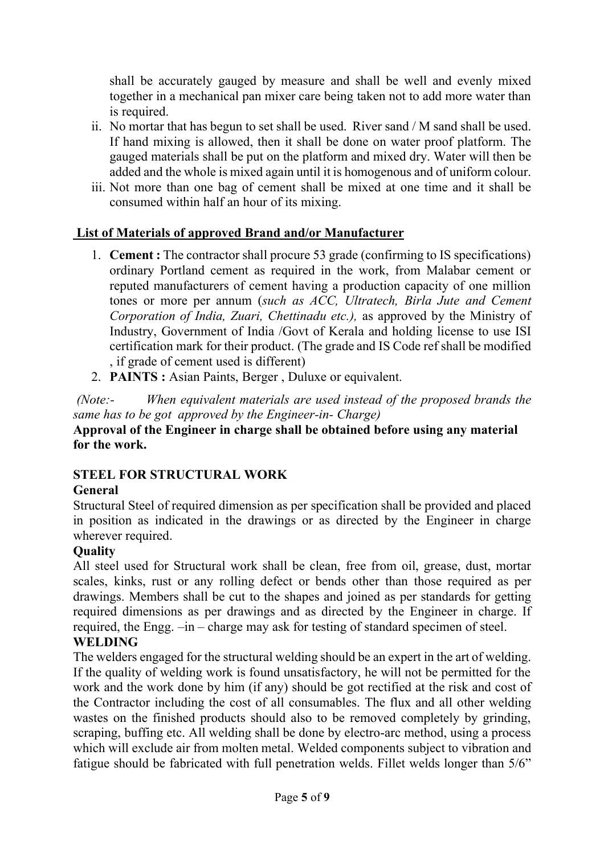shall be accurately gauged by measure and shall be well and evenly mixed together in a mechanical pan mixer care being taken not to add more water than is required.

- ii. No mortar that has begun to set shall be used. River sand / M sand shall be used. If hand mixing is allowed, then it shall be done on water proof platform. The gauged materials shall be put on the platform and mixed dry. Water will then be added and the whole is mixed again until it is homogenous and of uniform colour.
- iii. Not more than one bag of cement shall be mixed at one time and it shall be consumed within half an hour of its mixing.

# **List of Materials of approved Brand and/or Manufacturer**

- 1. **Cement :** The contractor shall procure 53 grade (confirming to IS specifications) ordinary Portland cement as required in the work, from Malabar cement or reputed manufacturers of cement having a production capacity of one million tones or more per annum (*such as ACC, Ultratech, Birla Jute and Cement Corporation of India, Zuari, Chettinadu etc.),* as approved by the Ministry of Industry, Government of India /Govt of Kerala and holding license to use ISI certification mark for their product. (The grade and IS Code ref shall be modified , if grade of cement used is different)
- 2. **PAINTS :** Asian Paints, Berger , Duluxe or equivalent.

*(Note:- When equivalent materials are used instead of the proposed brands the same has to be got approved by the Engineer-in- Charge)* **Approval of the Engineer in charge shall be obtained before using any material for the work.** 

# **STEEL FOR STRUCTURAL WORK**

### **General**

Structural Steel of required dimension as per specification shall be provided and placed in position as indicated in the drawings or as directed by the Engineer in charge wherever required.

### **Quality**

All steel used for Structural work shall be clean, free from oil, grease, dust, mortar scales, kinks, rust or any rolling defect or bends other than those required as per drawings. Members shall be cut to the shapes and joined as per standards for getting required dimensions as per drawings and as directed by the Engineer in charge. If required, the Engg. –in – charge may ask for testing of standard specimen of steel. **WELDING**

# The welders engaged for the structural welding should be an expert in the art of welding. If the quality of welding work is found unsatisfactory, he will not be permitted for the work and the work done by him (if any) should be got rectified at the risk and cost of the Contractor including the cost of all consumables. The flux and all other welding wastes on the finished products should also to be removed completely by grinding, scraping, buffing etc. All welding shall be done by electro-arc method, using a process which will exclude air from molten metal. Welded components subject to vibration and fatigue should be fabricated with full penetration welds. Fillet welds longer than 5/6"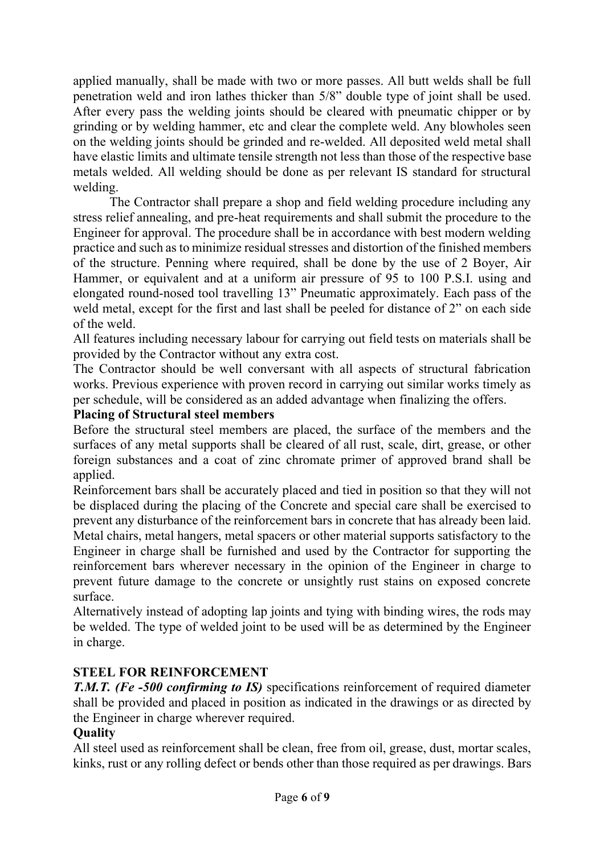applied manually, shall be made with two or more passes. All butt welds shall be full penetration weld and iron lathes thicker than 5/8" double type of joint shall be used. After every pass the welding joints should be cleared with pneumatic chipper or by grinding or by welding hammer, etc and clear the complete weld. Any blowholes seen on the welding joints should be grinded and re-welded. All deposited weld metal shall have elastic limits and ultimate tensile strength not less than those of the respective base metals welded. All welding should be done as per relevant IS standard for structural welding.

The Contractor shall prepare a shop and field welding procedure including any stress relief annealing, and pre-heat requirements and shall submit the procedure to the Engineer for approval. The procedure shall be in accordance with best modern welding practice and such as to minimize residual stresses and distortion of the finished members of the structure. Penning where required, shall be done by the use of 2 Boyer, Air Hammer, or equivalent and at a uniform air pressure of 95 to 100 P.S.I. using and elongated round-nosed tool travelling 13" Pneumatic approximately. Each pass of the weld metal, except for the first and last shall be peeled for distance of 2" on each side of the weld.

All features including necessary labour for carrying out field tests on materials shall be provided by the Contractor without any extra cost.

The Contractor should be well conversant with all aspects of structural fabrication works. Previous experience with proven record in carrying out similar works timely as per schedule, will be considered as an added advantage when finalizing the offers.

# **Placing of Structural steel members**

Before the structural steel members are placed, the surface of the members and the surfaces of any metal supports shall be cleared of all rust, scale, dirt, grease, or other foreign substances and a coat of zinc chromate primer of approved brand shall be applied.

Reinforcement bars shall be accurately placed and tied in position so that they will not be displaced during the placing of the Concrete and special care shall be exercised to prevent any disturbance of the reinforcement bars in concrete that has already been laid. Metal chairs, metal hangers, metal spacers or other material supports satisfactory to the Engineer in charge shall be furnished and used by the Contractor for supporting the reinforcement bars wherever necessary in the opinion of the Engineer in charge to prevent future damage to the concrete or unsightly rust stains on exposed concrete surface.

Alternatively instead of adopting lap joints and tying with binding wires, the rods may be welded. The type of welded joint to be used will be as determined by the Engineer in charge.

# **STEEL FOR REINFORCEMENT**

*T.M.T. (Fe -500 confirming to IS)* specifications reinforcement of required diameter shall be provided and placed in position as indicated in the drawings or as directed by the Engineer in charge wherever required.

### **Quality**

All steel used as reinforcement shall be clean, free from oil, grease, dust, mortar scales, kinks, rust or any rolling defect or bends other than those required as per drawings. Bars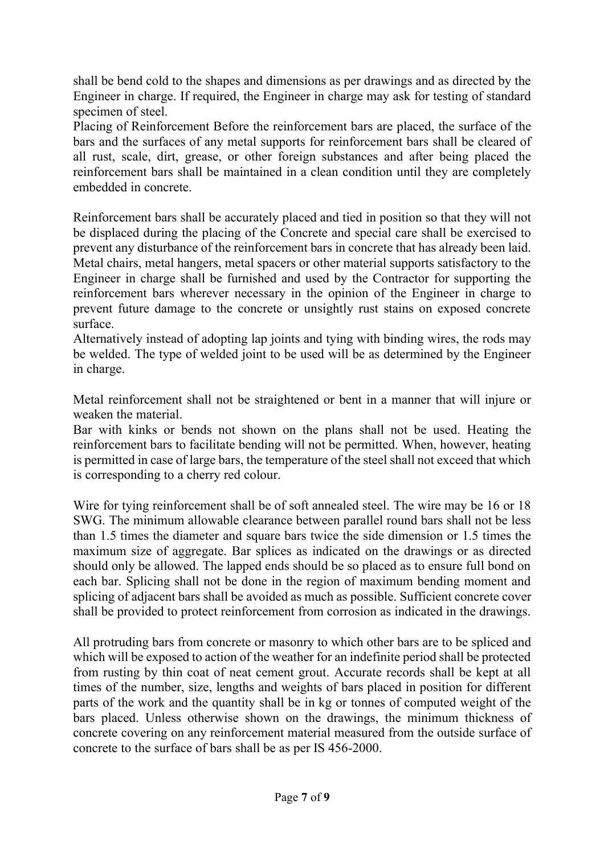shall be bend cold to the shapes and dimensions as per drawings and as directed by the Engineer in charge. If required, the Engineer in charge may ask for testing of standard specimen of steel.

Placing of Reinforcement Before the reinforcement bars are placed, the surface of the bars and the surfaces of any metal supports for reinforcement bars shall be cleared of all rust, scale, dirt, grease, or other foreign substances and after being placed the reinforcement bars shall be maintained in a clean condition until they are completely embedded in concrete.

Reinforcement bars shall be accurately placed and tied in position so that they will not be displaced during the placing of the Concrete and special care shall be exercised to prevent any disturbance of the reinforcement bars in concrete that has already been laid. Metal chairs, metal hangers, metal spacers or other material supports satisfactory to the Engineer in charge shall be furnished and used by the Contractor for supporting the reinforcement bars wherever necessary in the opinion of the Engineer in charge to prevent future damage to the concrete or unsightly rust stains on exposed concrete surface.

Alternatively instead of adopting lap joints and tying with binding wires, the rods may be welded. The type of welded joint to be used will be as determined by the Engineer in charge.

Metal reinforcement shall not be straightened or bent in a manner that will injure or weaken the material.

Bar with kinks or bends not shown on the plans shall not be used. Heating the reinforcement bars to facilitate bending will not be permitted. When, however, heating is permitted in case of large bars, the temperature of the steel shall not exceed that which is corresponding to a cherry red colour.

Wire for tying reinforcement shall be of soft annealed steel. The wire may be 16 or 18 SWG. The minimum allowable clearance between parallel round bars shall not be less than 1.5 times the diameter and square bars twice the side dimension or 1.5 times the maximum size of aggregate. Bar splices as indicated on the drawings or as directed should only be allowed. The lapped ends should be so placed as to ensure full bond on each bar. Splicing shall not be done in the region of maximum bending moment and splicing of adjacent bars shall be avoided as much as possible. Sufficient concrete cover shall be provided to protect reinforcement from corrosion as indicated in the drawings.

All protruding bars from concrete or masonry to which other bars are to be spliced and which will be exposed to action of the weather for an indefinite period shall be protected from rusting by thin coat of neat cement grout. Accurate records shall be kept at all times of the number, size, lengths and weights of bars placed in position for different parts of the work and the quantity shall be in kg or tonnes of computed weight of the bars placed. Unless otherwise shown on the drawings, the minimum thickness of concrete covering on any reinforcement material measured from the outside surface of concrete to the surface of bars shall be as per IS 456-2000.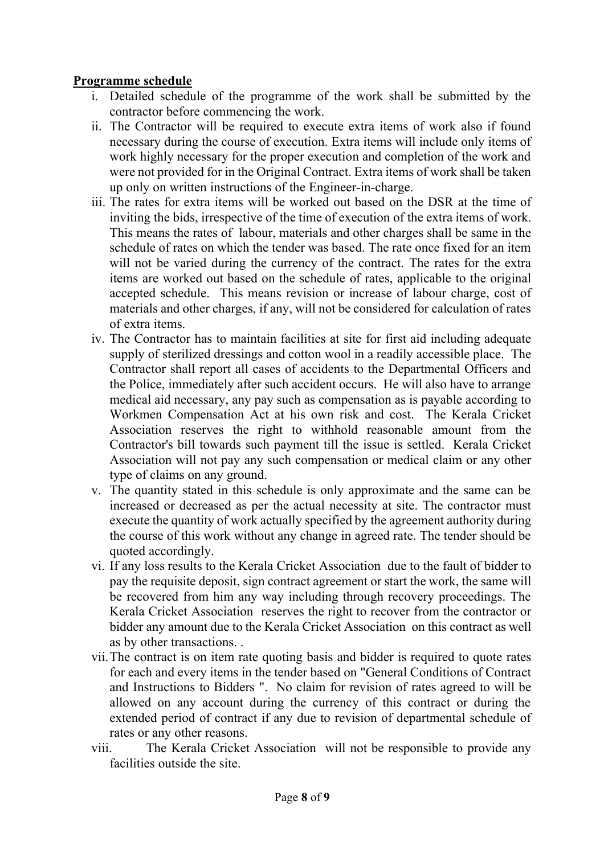# **Programme schedule**

- i. Detailed schedule of the programme of the work shall be submitted by the contractor before commencing the work.
- ii. The Contractor will be required to execute extra items of work also if found necessary during the course of execution. Extra items will include only items of work highly necessary for the proper execution and completion of the work and were not provided for in the Original Contract. Extra items of work shall be taken up only on written instructions of the Engineer-in-charge.
- iii. The rates for extra items will be worked out based on the DSR at the time of inviting the bids, irrespective of the time of execution of the extra items of work. This means the rates of labour, materials and other charges shall be same in the schedule of rates on which the tender was based. The rate once fixed for an item will not be varied during the currency of the contract. The rates for the extra items are worked out based on the schedule of rates, applicable to the original accepted schedule. This means revision or increase of labour charge, cost of materials and other charges, if any, will not be considered for calculation of rates of extra items.
- iv. The Contractor has to maintain facilities at site for first aid including adequate supply of sterilized dressings and cotton wool in a readily accessible place. The Contractor shall report all cases of accidents to the Departmental Officers and the Police, immediately after such accident occurs. He will also have to arrange medical aid necessary, any pay such as compensation as is payable according to Workmen Compensation Act at his own risk and cost. The Kerala Cricket Association reserves the right to withhold reasonable amount from the Contractor's bill towards such payment till the issue is settled. Kerala Cricket Association will not pay any such compensation or medical claim or any other type of claims on any ground.
- v. The quantity stated in this schedule is only approximate and the same can be increased or decreased as per the actual necessity at site. The contractor must execute the quantity of work actually specified by the agreement authority during the course of this work without any change in agreed rate. The tender should be quoted accordingly.
- vi. If any loss results to the Kerala Cricket Association due to the fault of bidder to pay the requisite deposit, sign contract agreement or start the work, the same will be recovered from him any way including through recovery proceedings. The Kerala Cricket Association reserves the right to recover from the contractor or bidder any amount due to the Kerala Cricket Association on this contract as well as by other transactions. .
- vii.The contract is on item rate quoting basis and bidder is required to quote rates for each and every items in the tender based on "General Conditions of Contract and Instructions to Bidders ". No claim for revision of rates agreed to will be allowed on any account during the currency of this contract or during the extended period of contract if any due to revision of departmental schedule of rates or any other reasons.
- viii. The Kerala Cricket Association will not be responsible to provide any facilities outside the site.